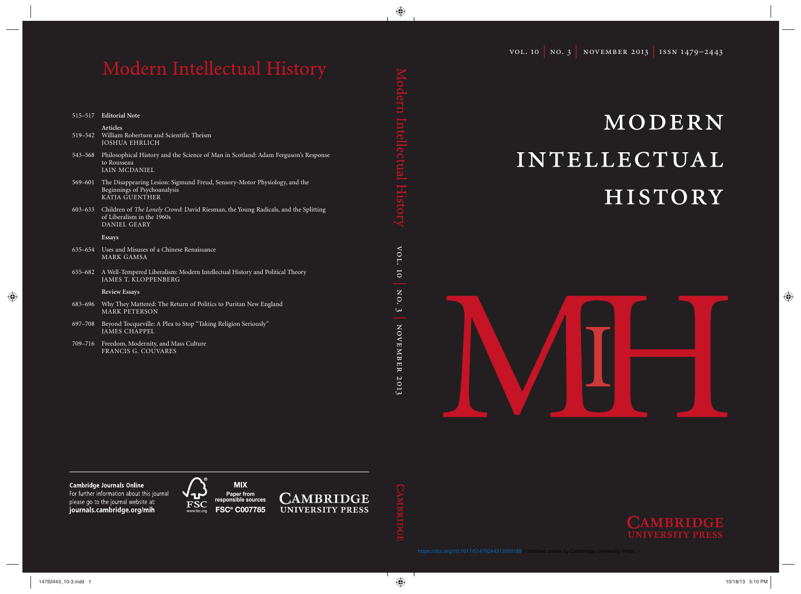# **MODERN** INTELLECTUAL HISTORY



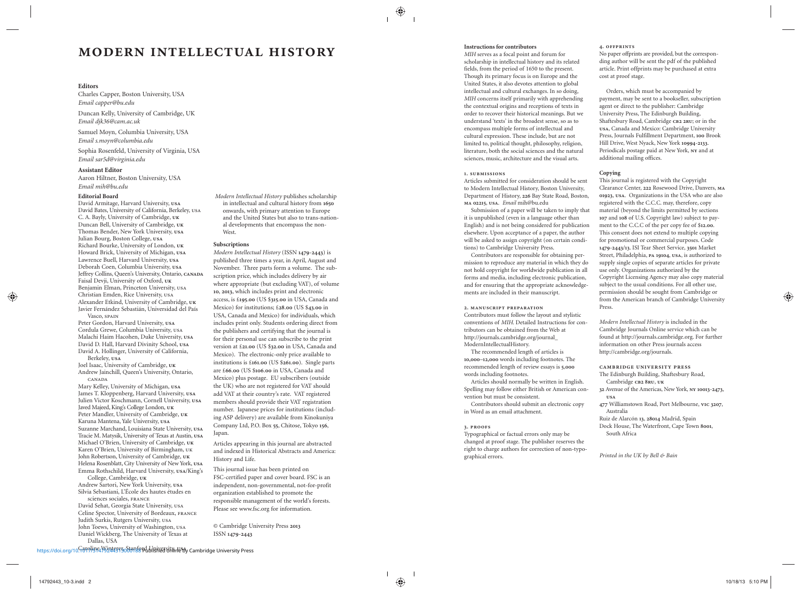## **modern intellectual history**

#### **Editors**

Charles Capper, Boston University, USA *Email capper@bu.edu*

Duncan Kelly, University of Cambridge, UK *Email djk36@cam.ac.uk*

Samuel Moyn*,* Columbia University, USA *Email s.moyn@columbia.edu*

Sophia Rosenfeld, University of Virginia, USA *Email sar5d@virginia.edu*

#### **Assistant Editor**

Aaron Hiltner, Boston University, USA *Email mih@bu.edu*

#### **Editorial Board**

David Armitage, Harvard University, **usa** David Bates, University of California, Berkeley, usa C. A. Bayly, University of Cambridge, **uk** Duncan Bell, University of Cambridge, **uk** Thomas Bender, New York University, **usa** Julian Bourg, Boston College, **usa** Richard Bourke, University of London, **uk** Howard Brick, University of Michigan, **usa** Lawrence Buell, Harvard University, **usa** Deborah Coen, Columbia University, **usa** Jeffrey Collins, Queen's University, Ontario, **canada** Faisal Devji, University of Oxford, **uk** Benjamin Elman, Princeton University, usa Christian Emden, Rice University, usa Alexander Etkind, University of Cambridge, **uk** Javier Fernández Sebastián, Universidad del País Vasco, spain Peter Gordon, Harvard University, **usa** Cordula Grewe, Columbia University, usa Malachi Haim Hacohen, Duke University, **usa** David D. Hall, Harvard Divinity School, **usa** David A. Hollinger, University of California, Berkeley, **usa** Joel Isaac, University of Cambridge, **uk** Andrew Jainchill, Queen's University, Ontario, canada Mary Kelley, University of Michigan, **usa** James T. Kloppenberg, Harvard University, **usa** Julien Victor Koschmann, Cornell University, **usa** Javed Majeed, King's College London, **uk** Peter Mandler, University of Cambridge, **uk** Karuna Mantena, Yale University, **usa** Suzanne Marchand, Louisiana State University, **usa** Tracie M. Matysik, University of Texas at Austin, **usa** Michael O'Brien, University of Cambridge, **uk** Karen O'Brien, University of Birmingham, uk John Robertson, University of Cambridge, **uk** Helena Rosenblatt, City University of New York, **usa** Emma Rothschild, Harvard University, **usa**/King's College, Cambridge, **uk**

Andrew Sartori, New York University, **usa** Silvia Sebastiani, L'École des hautes études en sciences sociales, france

David Sehat, Georgia State University, usa Celine Spector, University of Bordeaux, france Judith Surkis, Rutgers University, usa John Toews, University of Washington, usa Daniel Wickberg, The University of Texas at Dallas, USA

 *Modern Intellectual History* publishes scholarship in intellectual and cultural history from **1650** onwards, with primary attention to Europe and the United States but also to trans-national developments that encompass the non-West.

#### **Subscriptions**

*Modern Intellectual History* (ISSN **1479**-**2443**) is published three times a year, in April, August and November. Three parts form a volume. The subscription price, which includes delivery by air where appropriate (but excluding VAT), of volume **10**, **2013**, which includes print and electronic access, is £**195**.**00** (US \$**315**.**00** in USA, Canada and Mexico) for institutions; £**28**.**00** (US \$**43**.**00** in USA, Canada and Mexico) for individuals, which includes print only. Students ordering direct from the publishers and certifying that the journal is for their personal use can subscribe to the print version at £**21**.**00** (US \$**32**.**00** in USA, Canada and Mexico). The electronic-only price available to institutions is £**161**.**00** (US \$**261**.**00**). Single parts are £**66**.**00** (US \$**106**.**00** in USA, Canada and Mexico) plus postage. EU subscribers (outside the UK) who are not registered for VAT should add VAT at their country's rate. VAT registered members should provide their VAT registration number. Japanese prices for institutions (including ASP delivery) are available from Kinokuniya Company Ltd, P.O. Box **55**, Chitose, Tokyo **156**, Japan.

Articles appearing in this journal are abstracted and indexed in Historical Abstracts and America: History and Life.

This journal issue has been printed on FSC-certified paper and cover board. FSC is an independent, non-governmental, not-for-profit organization established to promote the responsible management of the world's forests. Please see www.fsc.org for information.

© Cambridge University Press **2013** ISSN **1479**-**2443**